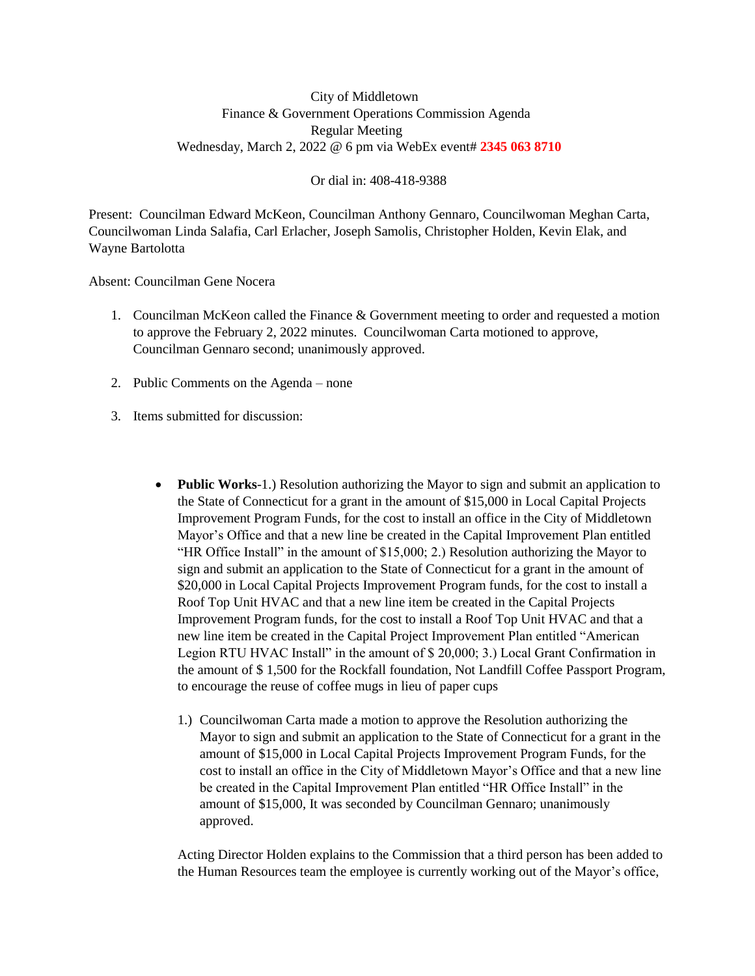## City of Middletown Finance & Government Operations Commission Agenda Regular Meeting Wednesday, March 2, 2022 @ 6 pm via WebEx event# **2345 063 8710**

Or dial in: 408-418-9388

Present: Councilman Edward McKeon, Councilman Anthony Gennaro, Councilwoman Meghan Carta, Councilwoman Linda Salafia, Carl Erlacher, Joseph Samolis, Christopher Holden, Kevin Elak, and Wayne Bartolotta

Absent: Councilman Gene Nocera

- 1. Councilman McKeon called the Finance & Government meeting to order and requested a motion to approve the February 2, 2022 minutes. Councilwoman Carta motioned to approve, Councilman Gennaro second; unanimously approved.
- 2. Public Comments on the Agenda none
- 3. Items submitted for discussion:
	- **Public Works**-1.) Resolution authorizing the Mayor to sign and submit an application to the State of Connecticut for a grant in the amount of \$15,000 in Local Capital Projects Improvement Program Funds, for the cost to install an office in the City of Middletown Mayor's Office and that a new line be created in the Capital Improvement Plan entitled "HR Office Install" in the amount of \$15,000; 2.) Resolution authorizing the Mayor to sign and submit an application to the State of Connecticut for a grant in the amount of \$20,000 in Local Capital Projects Improvement Program funds, for the cost to install a Roof Top Unit HVAC and that a new line item be created in the Capital Projects Improvement Program funds, for the cost to install a Roof Top Unit HVAC and that a new line item be created in the Capital Project Improvement Plan entitled "American Legion RTU HVAC Install" in the amount of \$ 20,000; 3.) Local Grant Confirmation in the amount of \$ 1,500 for the Rockfall foundation, Not Landfill Coffee Passport Program, to encourage the reuse of coffee mugs in lieu of paper cups
		- 1.) Councilwoman Carta made a motion to approve the Resolution authorizing the Mayor to sign and submit an application to the State of Connecticut for a grant in the amount of \$15,000 in Local Capital Projects Improvement Program Funds, for the cost to install an office in the City of Middletown Mayor's Office and that a new line be created in the Capital Improvement Plan entitled "HR Office Install" in the amount of \$15,000, It was seconded by Councilman Gennaro; unanimously approved.

Acting Director Holden explains to the Commission that a third person has been added to the Human Resources team the employee is currently working out of the Mayor's office,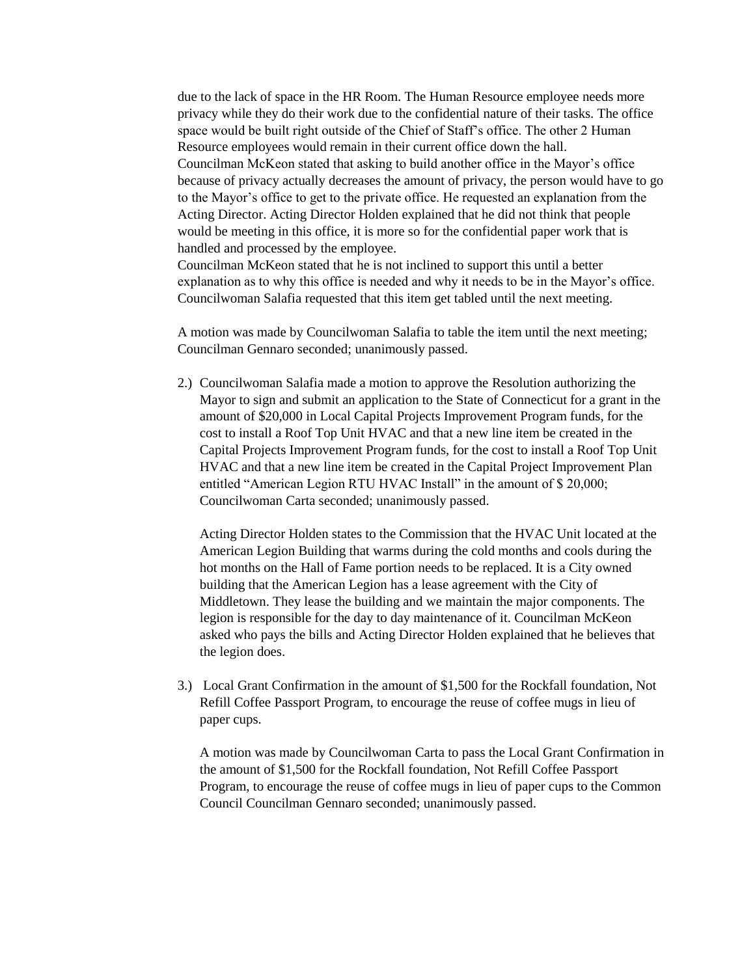due to the lack of space in the HR Room. The Human Resource employee needs more privacy while they do their work due to the confidential nature of their tasks. The office space would be built right outside of the Chief of Staff's office. The other 2 Human Resource employees would remain in their current office down the hall. Councilman McKeon stated that asking to build another office in the Mayor's office because of privacy actually decreases the amount of privacy, the person would have to go to the Mayor's office to get to the private office. He requested an explanation from the Acting Director. Acting Director Holden explained that he did not think that people would be meeting in this office, it is more so for the confidential paper work that is handled and processed by the employee.

Councilman McKeon stated that he is not inclined to support this until a better explanation as to why this office is needed and why it needs to be in the Mayor's office. Councilwoman Salafia requested that this item get tabled until the next meeting.

A motion was made by Councilwoman Salafia to table the item until the next meeting; Councilman Gennaro seconded; unanimously passed.

2.) Councilwoman Salafia made a motion to approve the Resolution authorizing the Mayor to sign and submit an application to the State of Connecticut for a grant in the amount of \$20,000 in Local Capital Projects Improvement Program funds, for the cost to install a Roof Top Unit HVAC and that a new line item be created in the Capital Projects Improvement Program funds, for the cost to install a Roof Top Unit HVAC and that a new line item be created in the Capital Project Improvement Plan entitled "American Legion RTU HVAC Install" in the amount of \$ 20,000; Councilwoman Carta seconded; unanimously passed.

Acting Director Holden states to the Commission that the HVAC Unit located at the American Legion Building that warms during the cold months and cools during the hot months on the Hall of Fame portion needs to be replaced. It is a City owned building that the American Legion has a lease agreement with the City of Middletown. They lease the building and we maintain the major components. The legion is responsible for the day to day maintenance of it. Councilman McKeon asked who pays the bills and Acting Director Holden explained that he believes that the legion does.

3.) Local Grant Confirmation in the amount of \$1,500 for the Rockfall foundation, Not Refill Coffee Passport Program, to encourage the reuse of coffee mugs in lieu of paper cups.

A motion was made by Councilwoman Carta to pass the Local Grant Confirmation in the amount of \$1,500 for the Rockfall foundation, Not Refill Coffee Passport Program, to encourage the reuse of coffee mugs in lieu of paper cups to the Common Council Councilman Gennaro seconded; unanimously passed.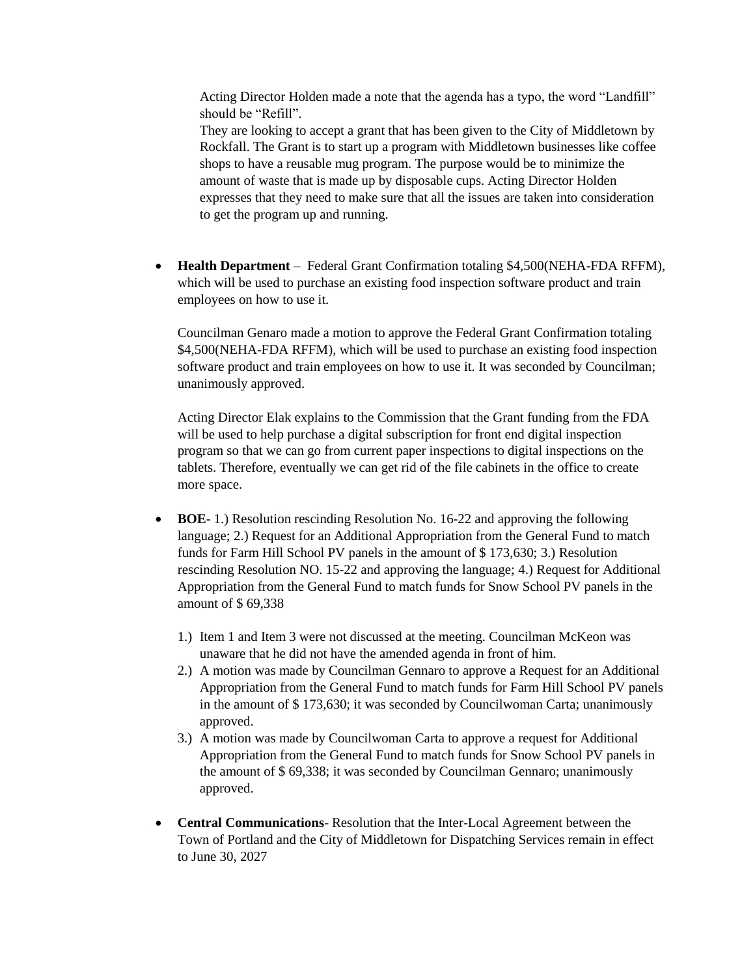Acting Director Holden made a note that the agenda has a typo, the word "Landfill" should be "Refill".

They are looking to accept a grant that has been given to the City of Middletown by Rockfall. The Grant is to start up a program with Middletown businesses like coffee shops to have a reusable mug program. The purpose would be to minimize the amount of waste that is made up by disposable cups. Acting Director Holden expresses that they need to make sure that all the issues are taken into consideration to get the program up and running.

 **Health Department** – Federal Grant Confirmation totaling \$4,500(NEHA-FDA RFFM), which will be used to purchase an existing food inspection software product and train employees on how to use it.

Councilman Genaro made a motion to approve the Federal Grant Confirmation totaling \$4,500(NEHA-FDA RFFM), which will be used to purchase an existing food inspection software product and train employees on how to use it. It was seconded by Councilman; unanimously approved.

Acting Director Elak explains to the Commission that the Grant funding from the FDA will be used to help purchase a digital subscription for front end digital inspection program so that we can go from current paper inspections to digital inspections on the tablets. Therefore, eventually we can get rid of the file cabinets in the office to create more space.

- **BOE-** 1.) Resolution rescinding Resolution No. 16-22 and approving the following language; 2.) Request for an Additional Appropriation from the General Fund to match funds for Farm Hill School PV panels in the amount of \$ 173,630; 3.) Resolution rescinding Resolution NO. 15-22 and approving the language; 4.) Request for Additional Appropriation from the General Fund to match funds for Snow School PV panels in the amount of \$ 69,338
	- 1.) Item 1 and Item 3 were not discussed at the meeting. Councilman McKeon was unaware that he did not have the amended agenda in front of him.
	- 2.) A motion was made by Councilman Gennaro to approve a Request for an Additional Appropriation from the General Fund to match funds for Farm Hill School PV panels in the amount of \$ 173,630; it was seconded by Councilwoman Carta; unanimously approved.
	- 3.) A motion was made by Councilwoman Carta to approve a request for Additional Appropriation from the General Fund to match funds for Snow School PV panels in the amount of \$ 69,338; it was seconded by Councilman Gennaro; unanimously approved.
- **Central Communications** Resolution that the Inter-Local Agreement between the Town of Portland and the City of Middletown for Dispatching Services remain in effect to June 30, 2027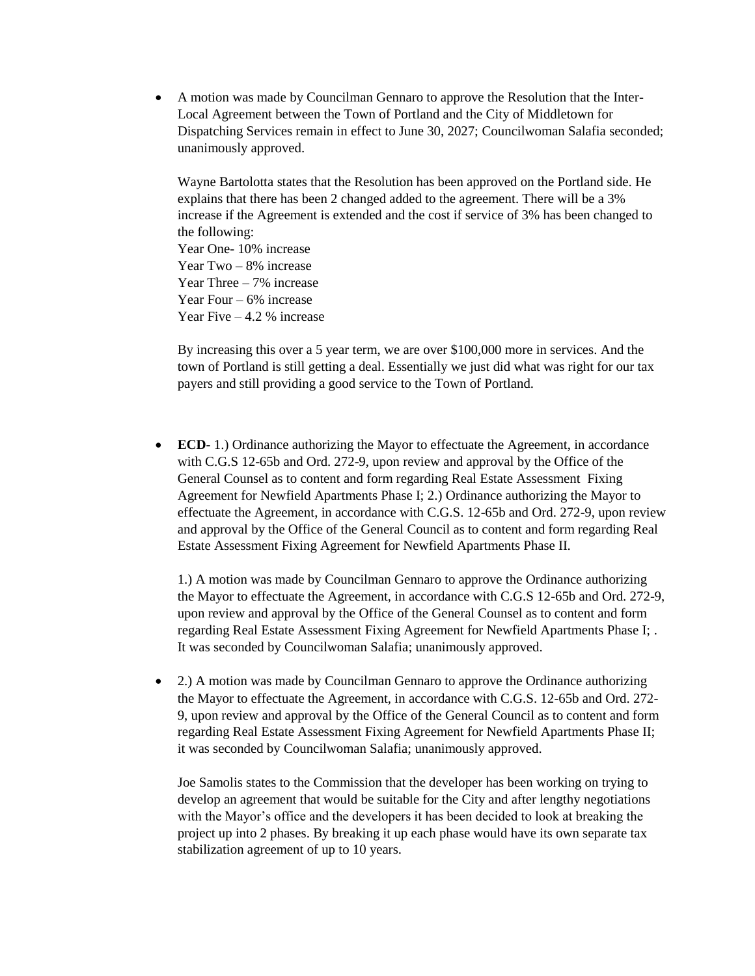A motion was made by Councilman Gennaro to approve the Resolution that the Inter-Local Agreement between the Town of Portland and the City of Middletown for Dispatching Services remain in effect to June 30, 2027; Councilwoman Salafia seconded; unanimously approved.

Wayne Bartolotta states that the Resolution has been approved on the Portland side. He explains that there has been 2 changed added to the agreement. There will be a 3% increase if the Agreement is extended and the cost if service of 3% has been changed to the following: Year One- 10% increase Year Two – 8% increase Year Three – 7% increase Year Four – 6% increase

Year Five  $-4.2$  % increase

By increasing this over a 5 year term, we are over \$100,000 more in services. And the town of Portland is still getting a deal. Essentially we just did what was right for our tax payers and still providing a good service to the Town of Portland.

 **ECD-** 1.) Ordinance authorizing the Mayor to effectuate the Agreement, in accordance with C.G.S 12-65b and Ord. 272-9, upon review and approval by the Office of the General Counsel as to content and form regarding Real Estate Assessment Fixing Agreement for Newfield Apartments Phase I; 2.) Ordinance authorizing the Mayor to effectuate the Agreement, in accordance with C.G.S. 12-65b and Ord. 272-9, upon review and approval by the Office of the General Council as to content and form regarding Real Estate Assessment Fixing Agreement for Newfield Apartments Phase II.

1.) A motion was made by Councilman Gennaro to approve the Ordinance authorizing the Mayor to effectuate the Agreement, in accordance with C.G.S 12-65b and Ord. 272-9, upon review and approval by the Office of the General Counsel as to content and form regarding Real Estate Assessment Fixing Agreement for Newfield Apartments Phase I; . It was seconded by Councilwoman Salafia; unanimously approved.

 2.) A motion was made by Councilman Gennaro to approve the Ordinance authorizing the Mayor to effectuate the Agreement, in accordance with C.G.S. 12-65b and Ord. 272- 9, upon review and approval by the Office of the General Council as to content and form regarding Real Estate Assessment Fixing Agreement for Newfield Apartments Phase II; it was seconded by Councilwoman Salafia; unanimously approved.

Joe Samolis states to the Commission that the developer has been working on trying to develop an agreement that would be suitable for the City and after lengthy negotiations with the Mayor's office and the developers it has been decided to look at breaking the project up into 2 phases. By breaking it up each phase would have its own separate tax stabilization agreement of up to 10 years.